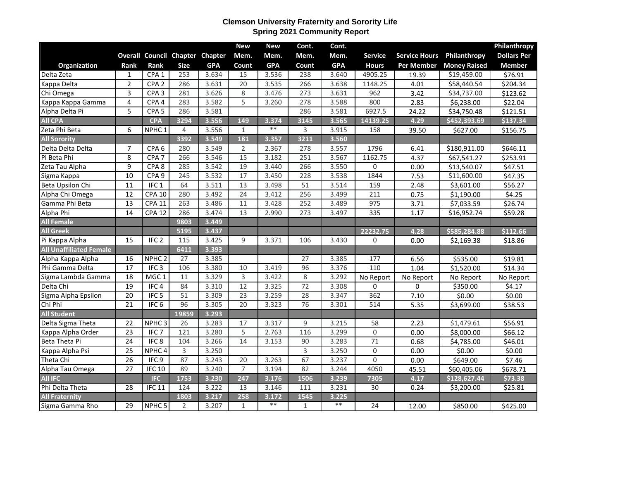## **Clemson University Fraternity and Sorority Life Spring 2021 Community Report**

|                                |                 |                   |                                 |            | <b>New</b>      | <b>New</b> | Cont.        | Cont.      |                 |                      |                     | Philanthropy       |
|--------------------------------|-----------------|-------------------|---------------------------------|------------|-----------------|------------|--------------|------------|-----------------|----------------------|---------------------|--------------------|
|                                |                 |                   | Overall Council Chapter Chapter |            | Mem.            | Mem.       | Mem.         | Mem.       | <b>Service</b>  | <b>Service Hours</b> | Philanthropy        | <b>Dollars Per</b> |
| <b>Organization</b>            | Rank            | Rank              | <b>Size</b>                     | <b>GPA</b> | Count           | <b>GPA</b> | Count        | <b>GPA</b> | <b>Hours</b>    | <b>Per Member</b>    | <b>Money Raised</b> | <b>Member</b>      |
| Delta Zeta                     | $\mathbf{1}$    | CPA <sub>1</sub>  | 253                             | 3.634      | 15              | 3.536      | 238          | 3.640      | 4905.25         | 19.39                | \$19,459.00         | \$76.91            |
| Kappa Delta                    | $\overline{2}$  | CPA <sub>2</sub>  | 286                             | 3.631      | 20              | 3.535      | 266          | 3.638      | 1148.25         | 4.01                 | \$58,440.54         | \$204.34           |
| Chi Omega                      | 3               | CPA <sub>3</sub>  | 281                             | 3.626      | 8               | 3.476      | 273          | 3.631      | 962             | 3.42                 | \$34,737.00         | \$123.62           |
| Kappa Kappa Gamma              | $\overline{4}$  | CPA4              | 283                             | 3.582      | 5               | 3.260      | 278          | 3.588      | 800             | 2.83                 | \$6,238.00          | \$22.04            |
| Alpha Delta Pi                 | 5               | CPA <sub>5</sub>  | 286                             | 3.581      |                 |            | 286          | 3.581      | 6927.5          | 24.22                | \$34,750.48         | \$121.51           |
| <b>All CPA</b>                 |                 | <b>CPA</b>        | 3294                            | 3.556      | 149             | 3.374      | 3145         | 3.565      | 14139.25        | 4.29                 | \$452,393.69        | \$137.34           |
| Zeta Phi Beta                  | 6               | NPHC <sub>1</sub> | 4                               | 3.556      | $1\,$           | $**$       | 3            | 3.915      | 158             | 39.50                | \$627.00            | \$156.75           |
| <b>All Sorority</b>            |                 |                   | 3392                            | 3.549      | 181             | 3.357      | 3211         | 3.560      |                 |                      |                     |                    |
| Delta Delta Delta              | $\overline{7}$  | CPA <sub>6</sub>  | 280                             | 3.549      | 2               | 2.367      | 278          | 3.557      | 1796            | 6.41                 | \$180,911.00        | \$646.11           |
| Pi Beta Phi                    | 8               | CPA <sub>7</sub>  | 266                             | 3.546      | 15              | 3.182      | 251          | 3.567      | 1162.75         | 4.37                 | \$67,541.27         | \$253.91           |
| Zeta Tau Alpha                 | 9               | CPA <sub>8</sub>  | 285                             | 3.542      | 19              | 3.440      | 266          | 3.550      | 0               | 0.00                 | \$13,540.07         | \$47.51            |
| Sigma Kappa                    | 10              | CPA <sub>9</sub>  | 245                             | 3.532      | 17              | 3.450      | 228          | 3.538      | 1844            | 7.53                 | \$11,600.00         | \$47.35            |
| Beta Upsilon Chi               | 11              | IFC <sub>1</sub>  | 64                              | 3.511      | 13              | 3.498      | 51           | 3.514      | 159             | 2.48                 | \$3,601.00          | \$56.27            |
| Alpha Chi Omega                | 12              | <b>CPA 10</b>     | 280                             | 3.492      | 24              | 3.412      | 256          | 3.499      | 211             | 0.75                 | \$1,190.00          | \$4.25             |
| Gamma Phi Beta                 | 13              | <b>CPA 11</b>     | 263                             | 3.486      | 11              | 3.428      | 252          | 3.489      | 975             | 3.71                 | \$7,033.59          | \$26.74            |
| Alpha Phi                      | 14              | <b>CPA 12</b>     | 286                             | 3.474      | 13              | 2.990      | 273          | 3.497      | 335             | 1.17                 | \$16,952.74         | \$59.28            |
| <b>All Female</b>              |                 |                   | 9803                            | 3.449      |                 |            |              |            |                 |                      |                     |                    |
| <b>All Greek</b>               |                 |                   | 5195                            | 3.437      |                 |            |              |            | 22232.75        | 4.28                 | \$585,284.88        | \$112.66           |
| Pi Kappa Alpha                 | 15              | IFC <sub>2</sub>  | 115                             | 3.425      | 9               | 3.371      | 106          | 3.430      | 0               | 0.00                 | \$2,169.38          | \$18.86            |
| <b>All Unaffiliated Female</b> |                 |                   | 6411                            | 3.393      |                 |            |              |            |                 |                      |                     |                    |
| Alpha Kappa Alpha              | 16              | NPHC <sub>2</sub> | 27                              | 3.385      |                 |            | 27           | 3.385      | 177             | 6.56                 | \$535.00            | \$19.81            |
| Phi Gamma Delta                | 17              | IFC <sub>3</sub>  | 106                             | 3.380      | 10              | 3.419      | 96           | 3.376      | $\frac{110}{1}$ | 1.04                 | \$1,520.00          | \$14.34            |
| Sigma Lambda Gamma             | 18              | MGC <sub>1</sub>  | 11                              | 3.329      | 3               | 3.422      | 8            | 3.292      | No Report       | No Report            | No Report           | No Report          |
| Delta Chi                      | 19              | IFC <sub>4</sub>  | 84                              | 3.310      | 12              | 3.325      | 72           | 3.308      | 0               | $\Omega$             | \$350.00            | \$4.17             |
| Sigma Alpha Epsilon            | $\overline{20}$ | IFC <sub>5</sub>  | 51                              | 3.309      | 23              | 3.259      | 28           | 3.347      | 362             | 7.10                 | \$0.00              | \$0.00             |
| Chi Phi                        | 21              | IFC <sub>6</sub>  | 96                              | 3.305      | 20              | 3.323      | 76           | 3.301      | 514             | 5.35                 | \$3,699.00          | \$38.53            |
| <b>All Student</b>             |                 |                   | 19859                           | 3.293      |                 |            |              |            |                 |                      |                     |                    |
| Delta Sigma Theta              | 22              | NPHC <sub>3</sub> | 26                              | 3.283      | 17              | 3.317      | 9            | 3.215      | 58              | 2.23                 | \$1,479.61          | \$56.91            |
| Kappa Alpha Order              | $\overline{23}$ | IFC <sub>7</sub>  | $\frac{1}{21}$                  | 3.280      | $\overline{5}$  | 2.763      | 116          | 3.299      | $\mathsf{O}$    | 0.00                 | \$8,000.00          | \$66.12            |
| Beta Theta Pi                  | $\overline{24}$ | IFC <sub>8</sub>  | 104                             | 3.266      | 14              | 3.153      | 90           | 3.283      | $\overline{71}$ | 0.68                 | \$4,785.00          | \$46.01            |
| Kappa Alpha Psi                | 25              | NPHC <sub>4</sub> | 3                               | 3.250      |                 |            | 3            | 3.250      | $\pmb{0}$       | 0.00                 | \$0.00              | \$0.00             |
| Theta Chi                      | $\overline{26}$ | IFC9              | 87                              | 3.243      | $\overline{20}$ | 3.263      | 67           | 3.237      | $\overline{0}$  | 0.00                 | \$649.00            | \$7.46             |
| Alpha Tau Omega                | 27              | <b>IFC 10</b>     | 89                              | 3.240      | $\overline{7}$  | 3.194      | 82           | 3.244      | 4050            | 45.51                | \$60,405.06         | \$678.71           |
| All IFC                        |                 | IFC               | 1753                            | 3.230      | 247             | 3.176      | 1506         | 3.239      | 7305            | 4.17                 | \$128,627.44        | \$73.38            |
| Phi Delta Theta                | 28              | <b>IFC 11</b>     | 124                             | 3.222      | 13              | 3.146      | 111          | 3.231      | 30              | 0.24                 | \$3,200.00          | \$25.81            |
| <b>All Fraternity</b>          |                 |                   | 1803                            | 3.217      | 258             | 3.172      | 1545         | 3.225      |                 |                      |                     |                    |
| Sigma Gamma Rho                | 29              | NPHC <sub>5</sub> | $\overline{2}$                  | 3.207      | $\mathbf{1}$    | $**$       | $\mathbf{1}$ | $**$       | 24              | 12.00                | \$850.00            | \$425.00           |